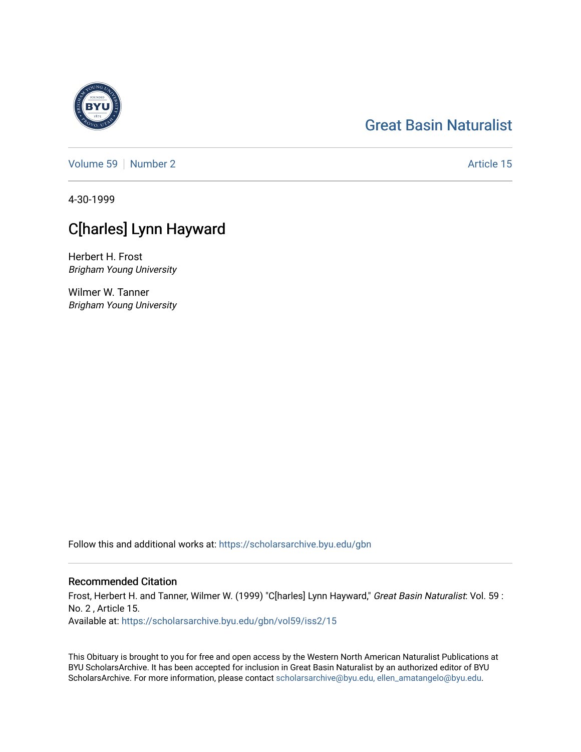#### [Great Basin Naturalist](https://scholarsarchive.byu.edu/gbn)

[Volume 59](https://scholarsarchive.byu.edu/gbn/vol59) [Number 2](https://scholarsarchive.byu.edu/gbn/vol59/iss2) Article 15

4-30-1999

### C[harles] Lynn Hayward

Herbert H. Frost Brigham Young University

Wilmer W. Tanner Brigham Young University

Follow this and additional works at: [https://scholarsarchive.byu.edu/gbn](https://scholarsarchive.byu.edu/gbn?utm_source=scholarsarchive.byu.edu%2Fgbn%2Fvol59%2Fiss2%2F15&utm_medium=PDF&utm_campaign=PDFCoverPages) 

#### Recommended Citation

Frost, Herbert H. and Tanner, Wilmer W. (1999) "C[harles] Lynn Hayward," Great Basin Naturalist: Vol. 59 : No. 2 , Article 15. Available at: [https://scholarsarchive.byu.edu/gbn/vol59/iss2/15](https://scholarsarchive.byu.edu/gbn/vol59/iss2/15?utm_source=scholarsarchive.byu.edu%2Fgbn%2Fvol59%2Fiss2%2F15&utm_medium=PDF&utm_campaign=PDFCoverPages) 

This Obituary is brought to you for free and open access by the Western North American Naturalist Publications at BYU ScholarsArchive. It has been accepted for inclusion in Great Basin Naturalist by an authorized editor of BYU ScholarsArchive. For more information, please contact [scholarsarchive@byu.edu, ellen\\_amatangelo@byu.edu.](mailto:scholarsarchive@byu.edu,%20ellen_amatangelo@byu.edu)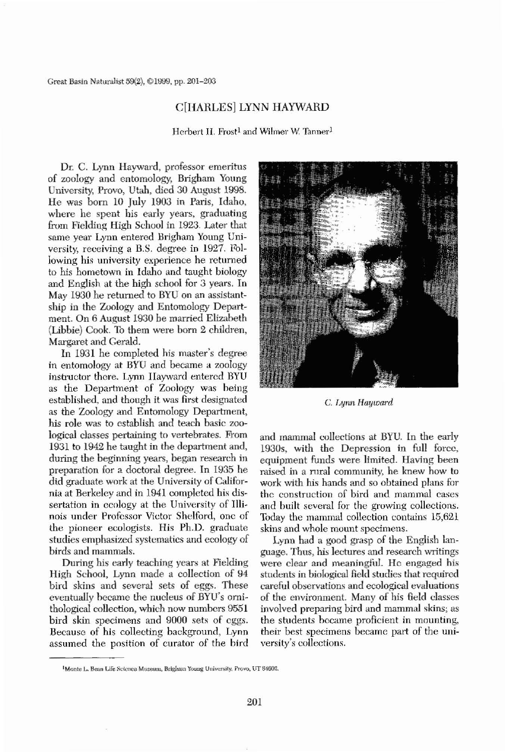Great Basin Naturalist 59(2), ©1999, pp. 201-203

# C[HARLES] LYNN HAYWARD

Herbert II. Frost<sup>1</sup> and Wilmer W. Tanner<sup>1</sup>

Dr. C. Lynn Hayward, professor emeritus of zoology and entomology, Brigham Young University, Provo, Utah, died 30 August 1998. He was born 10 July 1903 in Paris, Idaho, where he spent his early years, graduating from Fielding High School in 1923. Later that same year Lynn entered Brigham Young University, receiving a B.S. degree in 1927. Following his university experience he returned to his hometown in Idaho and taught biology and English at the high school for 3 years. In May 1930 he returned to BYU on an assistantship in the Zoology and Entomology Department. On 6 August 1930 be married Elizabeth (Libbie) Cook. To them were born 2 children, Margaret and Gerald. In 1931 he completed his master's degree in entomology at BYU and became a zoology instructor there. Lynn Hayward entered BYU as the Department of Zoology was being established, and thongh it was first designated as the Zoology and Entomology Department, his role was to establish and teach basic zoological classes pertaining to vertebrates. From 1931 to 1942 he taught in the department and, during the beginning years, began research in preparation for a doctoral degree. In 1935 he did graduate work at the University of California at Berkeley and in 1941 oompleted his dissertation in ecology at the University of Illinois under Professor Victor Shelford, one of the pioneer ecologists. His Ph.D. graduate studies emphasized systematics and ecology of birds and mammals. During his early teaching years at Fielding High School, Lynn made a collection of 94 bird skins and several sets of eggs. These eventually became the nucleus of BYU's ornithological collection, which now numbers 9551 bird skin specimens and 9000 sets of eggs. Because of his collecting background, Lynn assumed the position of curator of the bird



and mammal collections at BYU. In the early 1930s, with the Depression in full force, equipment funds were limited. Having been raised in a rural community, he knew how to work with his hands and so obtained plans for the construction of bird and mammal cases and built several for the growing collections. 1bday the mammal collection contains 15,621 skins and whole mount specimens.

<sup>&</sup>lt;sup>I</sup>Monte L. Bean Life Science Museum, Brigham Young University. Provo, UT 84602.



## C. *Lynn Hayward*

Lynn had a good grasp of the English hmguage. Thus, his lectures and research writings were clear and meaningful. He engaged his students in biological field studies that required careful observations and ecological evaluations of the environment. Many of his field classes involved preparing bird and mammal skins; as the students hecame proficient in mounting, their best specimens became part of the university's collections.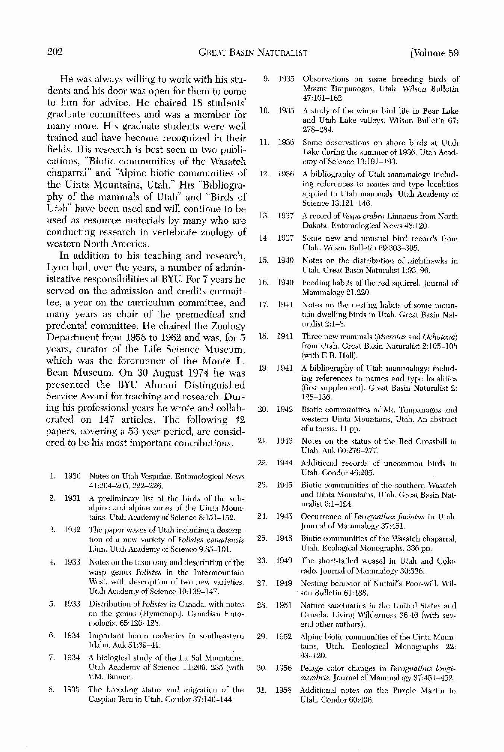He was always willing to work with his students and his door was open for them to come to him for advice. He chaired 18 students' graduate committees and was a member for many morc. His graduate students were well trained and have become recognized in their fields. His research is best seen in two publications, "Biotic communities of the Wasatch chaparral" and 'Alpine biotic communities of the Uinta Mountains, Utah." His "Bibliography of the mammals of Utah" and "Birds of Utah" have been used and will continue to he used as resource materials by many who are conducting research in vertebrate zoology of western North America.

- 1. 1930 Notes on Utah Vespidae. Entomological News 41:204-205, 222-226.
- 2. 1931 A preliminary list of the birds of the subalpine and alpine zones of the Uinta Mountains. Utah Academy of Science 8:J51-152.
- 3. 1932 Thc paper wasps of Utah including a description of a new variety of *Polistes canadensis* Linn. Utah Academy of Science 9:85-101.
- 4. 1933 Notes on the taxonomy and description of the wasp genus *Polistes* in the Intermountain West, with description of two new varieties. Utah Academy of Science JO:139-147.
- 5. 1933 Distribution of *Polistes* in Canada, with notes on the genus (Hymenop.). Canadian Entomologist 65:126-128.
- 6. 1934 Important heron rookeries in southeastern Idaho. Auk 51:39-41.
- 7. 1934 A biological study of the La Sal Mountains. Utah Academy of Science 11:209, 235 (with V.M. Tanner).

In addition to his teaching and research, Lynn had, over the years, a number of administrative responsibilities at BYU. For 7 years he served on the admission and credits committee, a year on the curriculum committee, and many years as chair of the premedical and predental committee. He chaired the Zoology Department from 1958 to 1962 and was, for 5 years, curator of the Life Science Museum, which was the forerunner of the Monte L. Bean Museum. On 30 August 1974 he was presented the BYU Alumni Distinguished Service Award for teaching and research. During his professional years he wrote and collaborated on 147 articles. The following 42 papers, covering a 53-year period, are considered to be his most important contributions.

- from Utah. Great Basin Naturalist 2:105-108 (with E.R. Hall).
- 19. 1941 A bibliography of Utah mammalogy: including references to names and type localities (first supplement). Great Basin Naturalist 2: 125-l.36.
- 20. 1942 Biotic communities of ML T'impanogos and western Uinta Mountains, Utah. An abstract of a thesis. 11 pp.
- 21. 1943 Notes on the status of the Red Crossbill in Utah. Auk 60,276-277.
- 22. 1944 Additional records of uncommon birds in Utah. Condor 46:205.
- 23. 1945 Biotic communities of the southern Wasatch and Uinta Mountains, Utah. Great Basin Naturalist 6: 1-124.
- 24. 1945 Occurrence of *Perognathus faciatus* in Utah. Journal of Mammalogy 37:451.
- 25. 1948 Biotie communities of the Wasatch chaparral, Utah. Ecological Monographs. 336 pp.
- 26. 1949 The short-tailed weasel in Utah and Colo~ rado. Journal of Mammalogy 30:336.
- 27. 1949 Nesting behavior of Nuttall's Poor-will. Wilson Bulletin 61:188.
- 28. 1951 Nature sanctuaries in the United States and Canada. Living Wilderness 36:46 (with several other authors).
- 29. 1952 Alpine biotic communities of the Uinta Mountains, Utah. Ecological Monographs 22: 93~J20.
- 30. 1956 Pelage color changes in *Perognathus longi-*

## membris. Journal of Mammalogy 37:451-452.

#### 8. 1935 The breeding status and migration of the Caspian Tern in Utah. Condor 37:140~144. .31. 1958 Additional notes on the Purple Martin 10 Utall. Condor 60:406.

- 9. ]935 Observations on some breeding birds of Mount Timpanogos, Utah. Wilson Bulletin 47:161-162.
- 10. 1935 A study of the winter bird life in Bear Lake and Utah Lake valleys. Wilson Bulletin 67: 278-284.
- 11. 1936 Some observations on shore birds at Utah Lake during the summer of 1936. Utah Academy of Science 13:191–193.
- 12. 1936 A bibliography of Utah mammalogy including references to names and type localities applied to Utah mammals. Utah Academy of Science 13:121-146.
- 13. 1937 A record of*Vespa crabro* Linnaeus from North Dakota. Entomological News 48:120.
- 14. 1937 Some new and unusual bird records from Utah. Wilson Bulletin 69:303-305.
- 15. 1940 Notes on the distribution of nighthawks in Utah. Great Basin Naturalist 1:93-96.
- 16. 1940 Feeding habits of the red squirrel. Journal of Mammalogy 21:220.
- 17. 1941 Notes on the nesting habits of some mountain dwelling birds in Utah. Great Basin Naturalist 2: 1-8.
- 18. 1941 Three new mammals *(Microtus* and *Ochotona)*